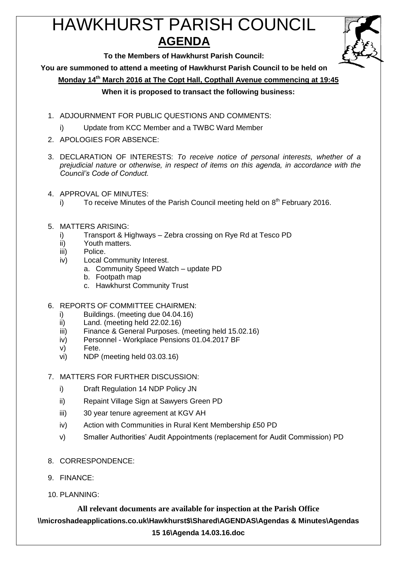# HAWKHURST PARISH COUNCIL **AGENDA**



**To the Members of Hawkhurst Parish Council:**

**You are summoned to attend a meeting of Hawkhurst Parish Council to be held on**

**Monday 14th March 2016 at The Copt Hall, Copthall Avenue commencing at 19:45**

# **When it is proposed to transact the following business:**

- 1. ADJOURNMENT FOR PUBLIC QUESTIONS AND COMMENTS:
	- i) Update from KCC Member and a TWBC Ward Member
- 2. APOLOGIES FOR ABSENCE:
- 3. DECLARATION OF INTERESTS: *To receive notice of personal interests, whether of a prejudicial nature or otherwise, in respect of items on this agenda, in accordance with the Council's Code of Conduct.*
- 4. APPROVAL OF MINUTES:
	- i) To receive Minutes of the Parish Council meeting held on  $8<sup>th</sup>$  February 2016.
- 5. MATTERS ARISING:
	- i) Transport & Highways Zebra crossing on Rye Rd at Tesco PD
	- ii) Youth matters.
	- iii) Police.
	- iv) Local Community Interest.
		- a. Community Speed Watch update PD
		- b. Footpath map
		- c. Hawkhurst Community Trust
- 6. REPORTS OF COMMITTEE CHAIRMEN:
	- i) Buildings. (meeting due 04.04.16)
	- ii) Land. (meeting held 22.02.16)
	- iii) Finance & General Purposes. (meeting held 15.02.16)
	- iv) Personnel Workplace Pensions 01.04.2017 BF
	- v) Fete.
	- vi) NDP (meeting held 03.03.16)
- 7. MATTERS FOR FURTHER DISCUSSION:
	- i) Draft Regulation 14 NDP Policy JN
	- ii) Repaint Village Sign at Sawyers Green PD
	- iii) 30 year tenure agreement at KGV AH
	- iv) Action with Communities in Rural Kent Membership £50 PD
	- v) Smaller Authorities' Audit Appointments (replacement for Audit Commission) PD
- 8. CORRESPONDENCE:
- 9. FINANCE:
- 10. PLANNING:

**All relevant documents are available for inspection at the Parish Office \\microshadeapplications.co.uk\Hawkhurst\$\Shared\AGENDAS\Agendas & Minutes\Agendas 15 16\Agenda 14.03.16.doc**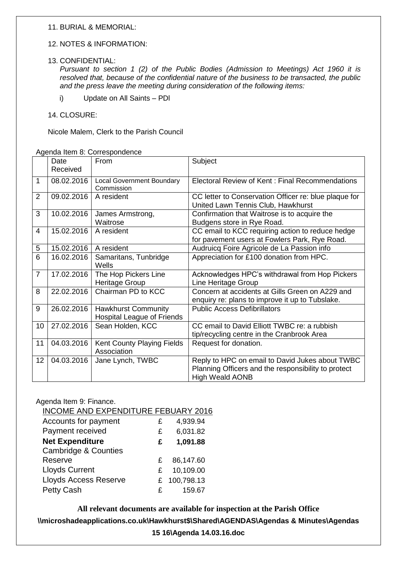# 11. BURIAL & MEMORIAL:

## 12. NOTES & INFORMATION:

#### 13. CONFIDENTIAL:

*Pursuant to section 1 (2) of the Public Bodies (Admission to Meetings) Act 1960 it is resolved that, because of the confidential nature of the business to be transacted, the public and the press leave the meeting during consideration of the following items:*

- i) Update on All Saints PDl
- 14. CLOSURE:

Nicole Malem, Clerk to the Parish Council

Agenda Item 8: Correspondence

|                | Date<br>Received | From                                                     | Subject                                                                                                                          |
|----------------|------------------|----------------------------------------------------------|----------------------------------------------------------------------------------------------------------------------------------|
|                |                  |                                                          |                                                                                                                                  |
| $\mathbf{1}$   | 08.02.2016       | <b>Local Government Boundary</b><br>Commission           | Electoral Review of Kent: Final Recommendations                                                                                  |
| $\overline{2}$ | 09.02.2016       | A resident                                               | CC letter to Conservation Officer re: blue plaque for<br>United Lawn Tennis Club, Hawkhurst                                      |
| 3              | 10.02.2016       | James Armstrong,<br>Waitrose                             | Confirmation that Waitrose is to acquire the<br>Budgens store in Rye Road.                                                       |
| 4              | 15.02.2016       | A resident                                               | CC email to KCC requiring action to reduce hedge<br>for pavement users at Fowlers Park, Rye Road.                                |
| 5              | 15.02.2016       | A resident                                               | Audruicq Foire Agricole de La Passion info                                                                                       |
| 6              | 16.02.2016       | Samaritans, Tunbridge<br>Wells                           | Appreciation for £100 donation from HPC.                                                                                         |
| $\overline{7}$ | 17.02.2016       | The Hop Pickers Line<br>Heritage Group                   | Acknowledges HPC's withdrawal from Hop Pickers<br>Line Heritage Group                                                            |
| 8              | 22.02.2016       | Chairman PD to KCC                                       | Concern at accidents at Gills Green on A229 and<br>enquiry re: plans to improve it up to Tubslake.                               |
| 9              | 26.02.2016       | <b>Hawkhurst Community</b><br>Hospital League of Friends | <b>Public Access Defibrillators</b>                                                                                              |
| 10             | 27.02.2016       | Sean Holden, KCC                                         | CC email to David Elliott TWBC re: a rubbish<br>tip/recycling centre in the Cranbrook Area                                       |
| 11             | 04.03.2016       | Kent County Playing Fields<br>Association                | Request for donation.                                                                                                            |
| 12             | 04.03.2016       | Jane Lynch, TWBC                                         | Reply to HPC on email to David Jukes about TWBC<br>Planning Officers and the responsibility to protect<br><b>High Weald AONB</b> |

# Agenda Item 9: Finance.

INCOME AND EXPENDITURE FEBUARY 2016

| Accounts for payment            | £ | 4,939.94   |
|---------------------------------|---|------------|
| Payment received                | £ | 6,031.82   |
| <b>Net Expenditure</b>          | £ | 1,091.88   |
| <b>Cambridge &amp; Counties</b> |   |            |
| Reserve                         | £ | 86,147.60  |
| <b>Lloyds Current</b>           | £ | 10,109.00  |
| <b>Lloyds Access Reserve</b>    | £ | 100,798.13 |
| <b>Petty Cash</b>               | £ | 159.67     |

**All relevant documents are available for inspection at the Parish Office \\microshadeapplications.co.uk\Hawkhurst\$\Shared\AGENDAS\Agendas & Minutes\Agendas** 

**15 16\Agenda 14.03.16.doc**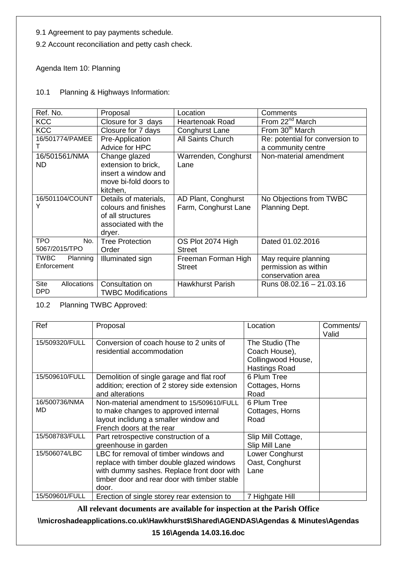9.1 Agreement to pay payments schedule.

9.2 Account reconciliation and petty cash check.

Agenda Item 10: Planning

10.1 Planning & Highways Information:

| Ref. No.                | Proposal                  | Location                | Comments                        |
|-------------------------|---------------------------|-------------------------|---------------------------------|
| <b>KCC</b>              | Closure for 3 days        | <b>Heartenoak Road</b>  | From 22 <sup>nd</sup> March     |
| <b>KCC</b>              | Closure for 7 days        | Conghurst Lane          | From 30 <sup>th</sup> March     |
| 16/501774/PAMEE         | Pre-Application           | All Saints Church       | Re: potential for conversion to |
|                         | Advice for HPC            |                         | a community centre              |
| 16/501561/NMA           | Change glazed             | Warrenden, Conghurst    | Non-material amendment          |
| ND.                     | extension to brick,       | Lane                    |                                 |
|                         | insert a window and       |                         |                                 |
|                         | move bi-fold doors to     |                         |                                 |
|                         | kitchen,                  |                         |                                 |
| 16/501104/COUNT         | Details of materials,     | AD Plant, Conghurst     | No Objections from TWBC         |
| Y                       | colours and finishes      | Farm, Conghurst Lane    | Planning Dept.                  |
|                         | of all structures         |                         |                                 |
|                         | associated with the       |                         |                                 |
|                         | dryer.                    |                         |                                 |
| <b>TPO</b><br>No.       | <b>Tree Protection</b>    | OS Plot 2074 High       | Dated 01.02.2016                |
| 5067/2015/TPO           | Order                     | <b>Street</b>           |                                 |
| <b>TWBC</b><br>Planning | Illuminated sign          | Freeman Forman High     | May require planning            |
| Enforcement             |                           | <b>Street</b>           | permission as within            |
|                         |                           |                         | conservation area               |
| Site<br>Allocations     | Consultation on           | <b>Hawkhurst Parish</b> | Runs 08.02.16 - 21.03.16        |
| <b>DPD</b>              | <b>TWBC Modifications</b> |                         |                                 |

10.2 Planning TWBC Approved:

| Ref                  | Proposal                                                                                                                                                                                  | Location                                                                | Comments/<br>Valid |
|----------------------|-------------------------------------------------------------------------------------------------------------------------------------------------------------------------------------------|-------------------------------------------------------------------------|--------------------|
| 15/509320/FULL       | Conversion of coach house to 2 units of<br>residential accommodation                                                                                                                      | The Studio (The<br>Coach House),<br>Collingwood House,<br>Hastings Road |                    |
| 15/509610/FULL       | Demolition of single garage and flat roof<br>addition; erection of 2 storey side extension<br>and alterations                                                                             | 6 Plum Tree<br>Cottages, Horns<br>Road                                  |                    |
| 16/500736/NMA<br>MD. | Non-material amendment to 15/509610/FULL<br>to make changes to approved internal<br>layout inclidung a smaller window and<br>French doors at the rear                                     | 6 Plum Tree<br>Cottages, Horns<br>Road                                  |                    |
| 15/508783/FULL       | Part retrospective construction of a<br>greenhouse in garden                                                                                                                              | Slip Mill Cottage,<br>Slip Mill Lane                                    |                    |
| 15/506074/LBC        | LBC for removal of timber windows and<br>replace with timber double glazed windows<br>with dummy sashes. Replace front door with<br>timber door and rear door with timber stable<br>door. | Lower Conghurst<br>Oast, Conghurst<br>Lane                              |                    |
| 15/509601/FULL       | Erection of single storey rear extension to                                                                                                                                               | 7 Highgate Hill                                                         |                    |

**All relevant documents are available for inspection at the Parish Office**

**\\microshadeapplications.co.uk\Hawkhurst\$\Shared\AGENDAS\Agendas & Minutes\Agendas** 

**15 16\Agenda 14.03.16.doc**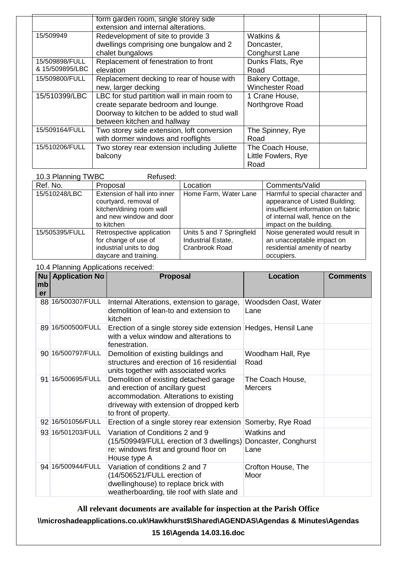|                 | form garden room, single storey side         |                        |
|-----------------|----------------------------------------------|------------------------|
|                 | extension and internal alterations.          |                        |
| 15/509949       | Redevelopment of site to provide 3           | Watkins &              |
|                 | dwellings comprising one bungalow and 2      | Doncaster,             |
|                 | chalet bungalows                             | <b>Conghurst Lane</b>  |
| 15/509898/FULL  | Replacement of fenestration to front         | Dunks Flats, Rye       |
| & 15/509895/LBC | elevation                                    | Road                   |
| 15/509800/FULL  | Replacement decking to rear of house with    | Bakery Cottage,        |
|                 | new, larger decking                          | <b>Winchester Road</b> |
| 15/510399/LBC   | LBC for stud partition wall in main room to  | 1 Crane House,         |
|                 | create separate bedroom and lounge.          | Northgrove Road        |
|                 | Doorway to kitchen to be added to stud wall  |                        |
|                 | between kitchen and hallway                  |                        |
| 15/509164/FULL  | Two storey side extension, loft conversion   | The Spinney, Rye       |
|                 | with dormer windows and rooflights           | Road                   |
| 15/510206/FULL  | Two storey rear extension including Juliette | The Coach House,       |
|                 | balcony                                      | Little Fowlers, Rye    |
|                 |                                              | Road                   |

| 10.3 Planning TWBC<br>Refused: |                                                                                                                            |                                                                   |                                                                                                                                                                       |  |  |
|--------------------------------|----------------------------------------------------------------------------------------------------------------------------|-------------------------------------------------------------------|-----------------------------------------------------------------------------------------------------------------------------------------------------------------------|--|--|
| Ref. No.                       | Proposal                                                                                                                   | Location                                                          | Comments/Valid                                                                                                                                                        |  |  |
| 15/510248/LBC                  | Extension of hall into inner<br>courtyard, removal of<br>kitchen/dining room wall<br>and new window and door<br>to kitchen | Home Farm, Water Lane                                             | Harmful to special character and<br>appearance of Listed Building;<br>insufficient information on fabric<br>of internal wall, hence on the<br>impact on the building. |  |  |
| 15/505395/FULL                 | Retrospective application<br>for change of use of<br>industrial units to dog<br>daycare and training.                      | Units 5 and 7 Springfield<br>Industrial Estate,<br>Cranbrook Road | Noise generated would result in<br>an unacceptable impact on<br>residential amenity of nearby<br>occupiers.                                                           |  |  |

10.4 Planning Applications received:

|               | io. Thammly replications received.<br>Nu   Application No | <b>Proposal</b>                                                                                                                                                                         | <b>Location</b>                             | <b>Comments</b> |
|---------------|-----------------------------------------------------------|-----------------------------------------------------------------------------------------------------------------------------------------------------------------------------------------|---------------------------------------------|-----------------|
| $\mathsf{mb}$ |                                                           |                                                                                                                                                                                         |                                             |                 |
| er            |                                                           |                                                                                                                                                                                         |                                             |                 |
|               | 88 16/500307/FULL                                         | Internal Alterations, extension to garage,<br>demolition of lean-to and extension to<br>kitchen                                                                                         | Woodsden Oast, Water<br>Lane                |                 |
|               | 89 16/500500/FULL                                         | Erection of a single storey side extension<br>with a velux window and alterations to<br>fenestration.                                                                                   | Hedges, Hensil Lane                         |                 |
|               | 90 16/500797/FULL                                         | Demolition of existing buildings and<br>structures and erection of 16 residential<br>units together with associated works                                                               | Woodham Hall, Rye<br>Road                   |                 |
|               | 91 16/500695/FULL                                         | Demolition of existing detached garage<br>and erection of ancillary guest<br>accommodation. Alterations to existing<br>driveway with extension of dropped kerb<br>to front of property. | The Coach House,<br><b>Mercers</b>          |                 |
|               | 92 16/501056/FULL                                         | Erection of a single storey rear extension                                                                                                                                              | Somerby, Rye Road                           |                 |
|               | 93 16/501203/FULL                                         | Variation of Conditions 2 and 9<br>(15/509949/FULL erection of 3 dwellings)<br>re: windows first and ground floor on<br>House type A                                                    | Watkins and<br>Doncaster, Conghurst<br>Lane |                 |
|               | 94 16/500944/FULL                                         | Variation of conditions 2 and 7<br>(14/506521/FULL erection of<br>dwellinghouse) to replace brick with<br>weatherboarding, tile roof with slate and                                     | Crofton House, The<br>Moor                  |                 |

**All relevant documents are available for inspection at the Parish Office**

**\\microshadeapplications.co.uk\Hawkhurst\$\Shared\AGENDAS\Agendas & Minutes\Agendas** 

**15 16\Agenda 14.03.16.doc**